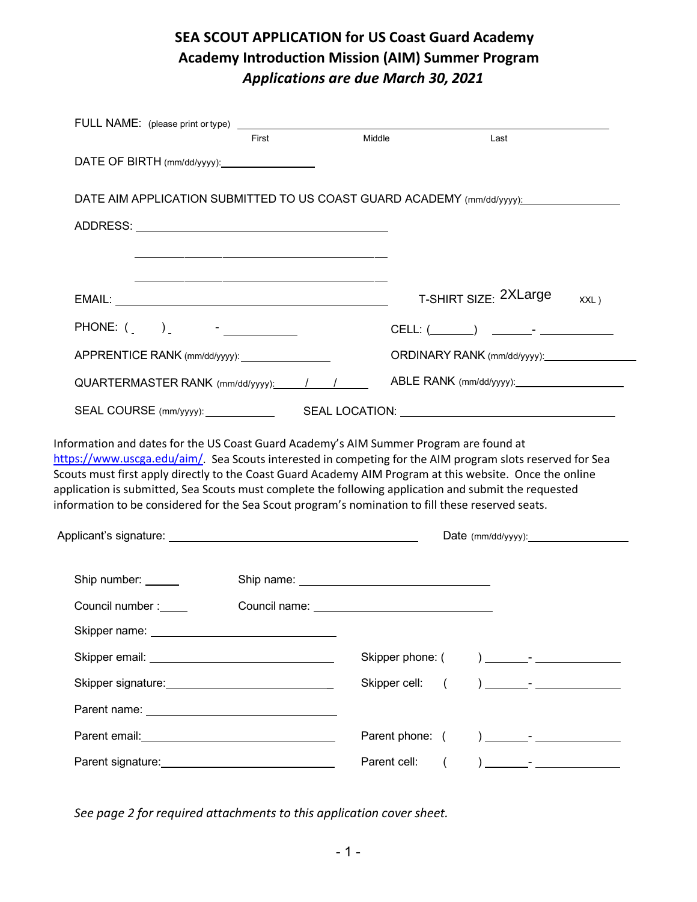# **SEA SCOUT APPLICATION for US Coast Guard Academy Academy Introduction Mission (AIM) Summer Program**  *Applications are due March 30, 2021*

|                                                                                                                                                                                                                                                                                                                                                                                                              | First | Middle                                                                                                                                                                                                                               | Last                                                                                                                                                                                                                  |
|--------------------------------------------------------------------------------------------------------------------------------------------------------------------------------------------------------------------------------------------------------------------------------------------------------------------------------------------------------------------------------------------------------------|-------|--------------------------------------------------------------------------------------------------------------------------------------------------------------------------------------------------------------------------------------|-----------------------------------------------------------------------------------------------------------------------------------------------------------------------------------------------------------------------|
| DATE OF BIRTH (mm/dd/yyyy): _________________                                                                                                                                                                                                                                                                                                                                                                |       |                                                                                                                                                                                                                                      |                                                                                                                                                                                                                       |
|                                                                                                                                                                                                                                                                                                                                                                                                              |       |                                                                                                                                                                                                                                      | DATE AIM APPLICATION SUBMITTED TO US COAST GUARD ACADEMY (mm/dd/yyyy):                                                                                                                                                |
|                                                                                                                                                                                                                                                                                                                                                                                                              |       |                                                                                                                                                                                                                                      |                                                                                                                                                                                                                       |
|                                                                                                                                                                                                                                                                                                                                                                                                              |       |                                                                                                                                                                                                                                      |                                                                                                                                                                                                                       |
|                                                                                                                                                                                                                                                                                                                                                                                                              |       |                                                                                                                                                                                                                                      | T-SHIRT SIZE: 2XLarge<br>XXL)                                                                                                                                                                                         |
| PHONE: ( _ ) _ _ _ _ _ _ _ _ _ _ _                                                                                                                                                                                                                                                                                                                                                                           |       |                                                                                                                                                                                                                                      |                                                                                                                                                                                                                       |
| APPRENTICE RANK (mm/dd/yyyy): _________________                                                                                                                                                                                                                                                                                                                                                              |       |                                                                                                                                                                                                                                      | ORDINARY RANK (mm/dd/yyyy): _______________                                                                                                                                                                           |
| $QUARTERMASTER RANK$ (mm/dd/yyyy): $\frac{1}{1-\frac{1}{1-\frac{1}{1-\frac{1}{1-\frac{1}{1-\frac{1}{1-\frac{1}{1-\frac{1}{1-\frac{1}{1-\frac{1}{1-\frac{1}{1-\frac{1}{1-\frac{1}{1-\frac{1}{1-\frac{1}{1-\frac{1}{1-\frac{1}{1-\frac{1}{1-\frac{1}{1-\frac{1}{1-\frac{1}{1-\frac{1}{1-\frac{1}{1-\frac{1}{1-\frac{1}{1-\frac{1}{1-\frac{1}{1-\frac{1}{1-\frac{1}{1-\frac{1}{1-\frac{1}{1-\frac{1}{1-\frac{1$ |       |                                                                                                                                                                                                                                      |                                                                                                                                                                                                                       |
|                                                                                                                                                                                                                                                                                                                                                                                                              |       |                                                                                                                                                                                                                                      | SEAL COURSE (mm/yyyy): SEAL LOCATION: SEAL LOCATION:                                                                                                                                                                  |
|                                                                                                                                                                                                                                                                                                                                                                                                              |       |                                                                                                                                                                                                                                      | https://www.uscga.edu/aim/. Sea Scouts interested in competing for the AIM program slots reserved for Sea<br>Scouts must first apply directly to the Coast Guard Academy AIM Program at this website. Once the online |
| Information and dates for the US Coast Guard Academy's AIM Summer Program are found at<br>information to be considered for the Sea Scout program's nomination to fill these reserved seats.                                                                                                                                                                                                                  |       |                                                                                                                                                                                                                                      | application is submitted, Sea Scouts must complete the following application and submit the requested                                                                                                                 |
|                                                                                                                                                                                                                                                                                                                                                                                                              |       |                                                                                                                                                                                                                                      | Date $(mm/dd/yyyy)$ :                                                                                                                                                                                                 |
| Ship number:                                                                                                                                                                                                                                                                                                                                                                                                 |       | Ship name: <u>with the state of the state of the state of the state of the state of the state of the state of the state of the state of the state of the state of the state of the state of the state of the state of the state </u> |                                                                                                                                                                                                                       |
| Council number :_____                                                                                                                                                                                                                                                                                                                                                                                        |       |                                                                                                                                                                                                                                      |                                                                                                                                                                                                                       |
| Skipper name: ________________________                                                                                                                                                                                                                                                                                                                                                                       |       |                                                                                                                                                                                                                                      |                                                                                                                                                                                                                       |
| Skipper email: <u>www.community.com</u>                                                                                                                                                                                                                                                                                                                                                                      |       | Skipper phone: (                                                                                                                                                                                                                     |                                                                                                                                                                                                                       |
|                                                                                                                                                                                                                                                                                                                                                                                                              |       | Skipper cell:                                                                                                                                                                                                                        | $\left($                                                                                                                                                                                                              |
|                                                                                                                                                                                                                                                                                                                                                                                                              |       |                                                                                                                                                                                                                                      |                                                                                                                                                                                                                       |
| Parent email: <u>www.community.com</u>                                                                                                                                                                                                                                                                                                                                                                       |       | Parent phone: (                                                                                                                                                                                                                      |                                                                                                                                                                                                                       |

*See page 2 for required attachments to this application cover sheet.*